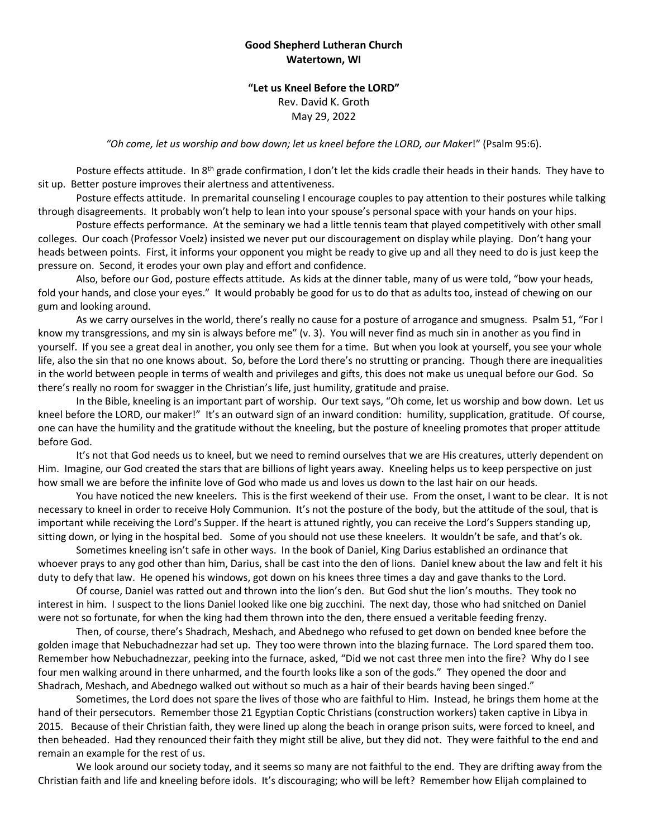## **Good Shepherd Lutheran Church Watertown, WI**

## **"Let us Kneel Before the LORD"** Rev. David K. Groth May 29, 2022

*"Oh come, let us worship and bow down; let us kneel before the LORD, our Maker*!" (Psalm 95:6).

Posture effects attitude. In 8<sup>th</sup> grade confirmation, I don't let the kids cradle their heads in their hands. They have to sit up. Better posture improves their alertness and attentiveness.

Posture effects attitude. In premarital counseling I encourage couples to pay attention to their postures while talking through disagreements. It probably won't help to lean into your spouse's personal space with your hands on your hips.

Posture effects performance. At the seminary we had a little tennis team that played competitively with other small colleges. Our coach (Professor Voelz) insisted we never put our discouragement on display while playing. Don't hang your heads between points. First, it informs your opponent you might be ready to give up and all they need to do is just keep the pressure on. Second, it erodes your own play and effort and confidence.

Also, before our God, posture effects attitude. As kids at the dinner table, many of us were told, "bow your heads, fold your hands, and close your eyes." It would probably be good for us to do that as adults too, instead of chewing on our gum and looking around.

As we carry ourselves in the world, there's really no cause for a posture of arrogance and smugness. Psalm 51, "For I know my transgressions, and my sin is always before me" (v. 3). You will never find as much sin in another as you find in yourself. If you see a great deal in another, you only see them for a time. But when you look at yourself, you see your whole life, also the sin that no one knows about. So, before the Lord there's no strutting or prancing. Though there are inequalities in the world between people in terms of wealth and privileges and gifts, this does not make us unequal before our God. So there's really no room for swagger in the Christian's life, just humility, gratitude and praise.

In the Bible, kneeling is an important part of worship. Our text says, "Oh come, let us worship and bow down. Let us kneel before the LORD, our maker!" It's an outward sign of an inward condition: humility, supplication, gratitude. Of course, one can have the humility and the gratitude without the kneeling, but the posture of kneeling promotes that proper attitude before God.

It's not that God needs us to kneel, but we need to remind ourselves that we are His creatures, utterly dependent on Him. Imagine, our God created the stars that are billions of light years away. Kneeling helps us to keep perspective on just how small we are before the infinite love of God who made us and loves us down to the last hair on our heads.

You have noticed the new kneelers. This is the first weekend of their use. From the onset, I want to be clear. It is not necessary to kneel in order to receive Holy Communion. It's not the posture of the body, but the attitude of the soul, that is important while receiving the Lord's Supper. If the heart is attuned rightly, you can receive the Lord's Suppers standing up, sitting down, or lying in the hospital bed. Some of you should not use these kneelers. It wouldn't be safe, and that's ok.

Sometimes kneeling isn't safe in other ways. In the book of Daniel, King Darius established an ordinance that whoever prays to any god other than him, Darius, shall be cast into the den of lions. Daniel knew about the law and felt it his duty to defy that law. He opened his windows, got down on his knees three times a day and gave thanks to the Lord.

Of course, Daniel was ratted out and thrown into the lion's den. But God shut the lion's mouths. They took no interest in him. I suspect to the lions Daniel looked like one big zucchini. The next day, those who had snitched on Daniel were not so fortunate, for when the king had them thrown into the den, there ensued a veritable feeding frenzy.

Then, of course, there's Shadrach, Meshach, and Abednego who refused to get down on bended knee before the golden image that Nebuchadnezzar had set up. They too were thrown into the blazing furnace. The Lord spared them too. Remember how Nebuchadnezzar, peeking into the furnace, asked, "Did we not cast three men into the fire? Why do I see four men walking around in there unharmed, and the fourth looks like a son of the gods." They opened the door and Shadrach, Meshach, and Abednego walked out without so much as a hair of their beards having been singed."

Sometimes, the Lord does not spare the lives of those who are faithful to Him. Instead, he brings them home at the hand of their persecutors. Remember those 21 Egyptian Coptic Christians (construction workers) taken captive in Libya in 2015. Because of their Christian faith, they were lined up along the beach in orange prison suits, were forced to kneel, and then beheaded. Had they renounced their faith they might still be alive, but they did not. They were faithful to the end and remain an example for the rest of us.

We look around our society today, and it seems so many are not faithful to the end. They are drifting away from the Christian faith and life and kneeling before idols. It's discouraging; who will be left? Remember how Elijah complained to